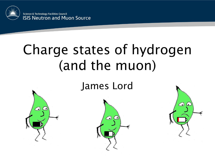

**Science & Technology Facilities Council ISIS Neutron and Muon Source** 

#### Charge states of hydrogen (and the muon)

James Lord





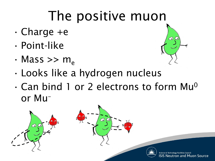### The positive muon

- Charge +e
- Point-like
- Mass  $\gg m_e$



- Looks like a hydrogen nucleus
- $\cdot$  Can bind 1 or 2 electrons to form Mu<sup>0</sup> or Mu–

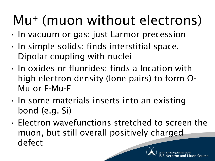# Mu<sup>+</sup> (muon without electrons)

- In vacuum or gas: just Larmor precession
- In simple solids: finds interstitial space. Dipolar coupling with nuclei
- In oxides or fluorides: finds a location with high electron density (lone pairs) to form O-Mu or F-Mu-F
- In some materials inserts into an existing bond (e.g. Si)
- Electron wavefunctions stretched to screen the muon, but still overall positively charged defect

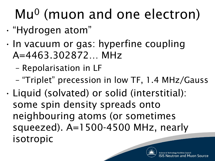# Mu<sup>0</sup> (muon and one electron)

- "Hydrogen atom"
- In vacuum or gas: hyperfine coupling A=4463.302872… MHz
	- Repolarisation in LF
	- "Triplet" precession in low TF, 1.4 MHz/Gauss
- Liquid (solvated) or solid (interstitial): some spin density spreads onto neighbouring atoms (or sometimes squeezed). A=1500-4500 MHz, nearly isotropic

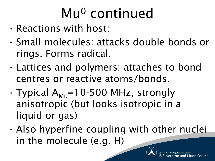# Mu<sup>0</sup> continued

- Reactions with host:
- Small molecules: attacks double bonds or rings. Forms radical.
- Lattices and polymers: attaches to bond centres or reactive atoms/bonds.
- $\cdot$  Typical A<sub>Mu</sub>=10-500 MHz, strongly anisotropic (but looks isotropic in a liquid or gas)
- Also hyperfine coupling with other nuclei in the molecule (e.g. H)

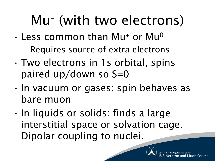## Mu– (with two electrons)

- $\cdot$  Less common than Mu<sup>+</sup> or Mu<sup>0</sup>
	- Requires source of extra electrons
- Two electrons in 1s orbital, spins paired up/down so S=0
- In vacuum or gases: spin behaves as bare muon
- In liquids or solids: finds a large interstitial space or solvation cage. Dipolar coupling to nuclei.

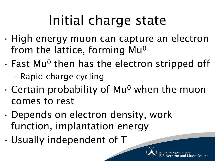# Initial charge state

- High energy muon can capture an electron from the lattice, forming Mu<sup>0</sup>
- $\cdot$  Fast Mu<sup>0</sup> then has the electron stripped off – Rapid charge cycling
- $\cdot$  Certain probability of Mu<sup>0</sup> when the muon comes to rest
- Depends on electron density, work function, implantation energy
- Usually independent of T

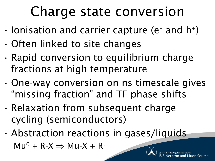### Charge state conversion

- $\cdot$  lonisation and carrier capture (e<sup>-</sup> and h<sup>+</sup>)
- Often linked to site changes
- Rapid conversion to equilibrium charge fractions at high temperature
- One-way conversion on ns timescale gives "missing fraction" and TF phase shifts
- Relaxation from subsequent charge cycling (semiconductors)
- Abstraction reactions in gases/liquids  $Mu^0 + R-X \Rightarrow Mu-X + R$ .

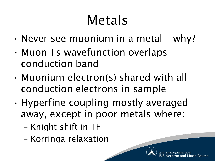## Metals

- Never see muonium in a metal why?
- Muon 1s wavefunction overlaps conduction band
- Muonium electron(s) shared with all conduction electrons in sample
- Hyperfine coupling mostly averaged away, except in poor metals where:
	- Knight shift in TF
	- Korringa relaxation

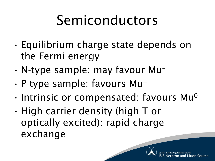#### Semiconductors

- Equilibrium charge state depends on the Fermi energy
- N-type sample: may favour Mu–
- P-type sample: favours Mu<sup>+</sup>
- $\cdot$  Intrinsic or compensated: favours Mu<sup>0</sup>
- High carrier density (high T or optically excited): rapid charge exchange

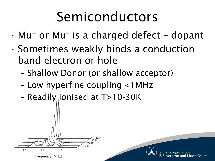#### Semiconductors

- Mu<sup>+</sup> or Mu– is a charged defect dopant
- Sometimes weakly binds a conduction band electron or hole

Science & Technology Fa

**Neutron and Muon Source** 

- Shallow Donor (or shallow acceptor)
- Low hyperfine coupling <1MHz
- Readily ionised at T>10-30K

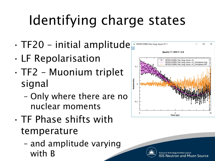# Identifying charge states

- TF20 initial amplitude
- LF Repolarisation
- TF2 Muonium triplet signal
	- Only where there are no nuclear moments
- TF Phase shifts with temperature
	- and amplitude varying with B



Science & Technology Facilities Council

ISIS Neutron and Muon Source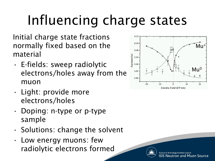# Influencing charge states

Initial charge state fractions normally fixed based on the material

- E-fields: sweep radiolytic electrons/holes away from the muon
- Light: provide more electrons/holes
- Doping: n-type or p-type sample
- Solutions: change the solvent
- Low energy muons: few radiolytic electrons formed